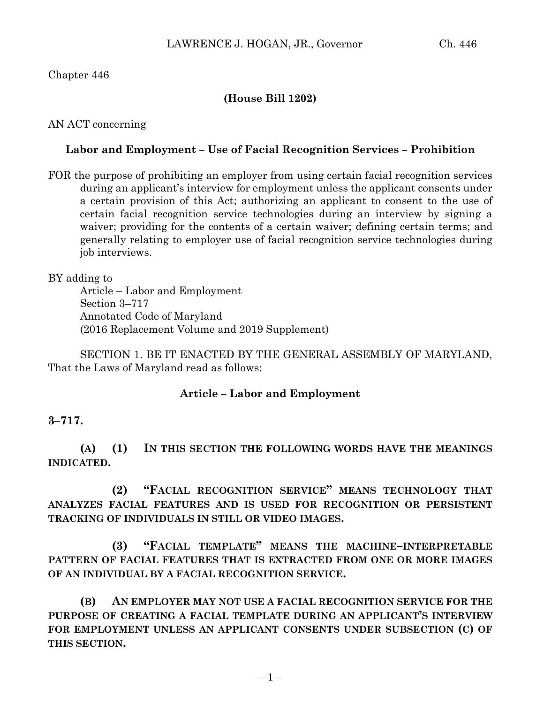## Chapter 446

## **(House Bill 1202)**

AN ACT concerning

## **Labor and Employment – Use of Facial Recognition Services – Prohibition**

FOR the purpose of prohibiting an employer from using certain facial recognition services during an applicant's interview for employment unless the applicant consents under a certain provision of this Act; authorizing an applicant to consent to the use of certain facial recognition service technologies during an interview by signing a waiver; providing for the contents of a certain waiver; defining certain terms; and generally relating to employer use of facial recognition service technologies during job interviews.

BY adding to

Article – Labor and Employment Section 3–717 Annotated Code of Maryland (2016 Replacement Volume and 2019 Supplement)

SECTION 1. BE IT ENACTED BY THE GENERAL ASSEMBLY OF MARYLAND, That the Laws of Maryland read as follows:

## **Article – Labor and Employment**

**3–717.**

**(A) (1) IN THIS SECTION THE FOLLOWING WORDS HAVE THE MEANINGS INDICATED.**

**(2) "FACIAL RECOGNITION SERVICE" MEANS TECHNOLOGY THAT ANALYZES FACIAL FEATURES AND IS USED FOR RECOGNITION OR PERSISTENT TRACKING OF INDIVIDUALS IN STILL OR VIDEO IMAGES.**

**(3) "FACIAL TEMPLATE" MEANS THE MACHINE–INTERPRETABLE PATTERN OF FACIAL FEATURES THAT IS EXTRACTED FROM ONE OR MORE IMAGES OF AN INDIVIDUAL BY A FACIAL RECOGNITION SERVICE.**

**(B) AN EMPLOYER MAY NOT USE A FACIAL RECOGNITION SERVICE FOR THE PURPOSE OF CREATING A FACIAL TEMPLATE DURING AN APPLICANT'S INTERVIEW FOR EMPLOYMENT UNLESS AN APPLICANT CONSENTS UNDER SUBSECTION (C) OF THIS SECTION.**